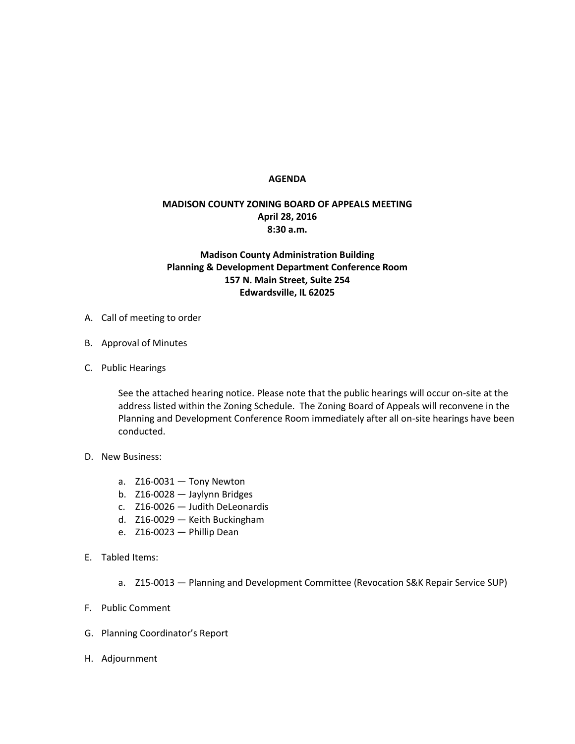## **AGENDA**

## **MADISON COUNTY ZONING BOARD OF APPEALS MEETING April 28, 2016 8:30 a.m.**

## **Madison County Administration Building Planning & Development Department Conference Room 157 N. Main Street, Suite 254 Edwardsville, IL 62025**

- A. Call of meeting to order
- B. Approval of Minutes
- C. Public Hearings

See the attached hearing notice. Please note that the public hearings will occur on-site at the address listed within the Zoning Schedule. The Zoning Board of Appeals will reconvene in the Planning and Development Conference Room immediately after all on-site hearings have been conducted.

- D. New Business:
	- a. Z16-0031 Tony Newton
	- b. Z16-0028 Jaylynn Bridges
	- c. Z16-0026 Judith DeLeonardis
	- d. Z16-0029 Keith Buckingham
	- e. Z16-0023 Phillip Dean
- E. Tabled Items:
	- a. Z15-0013 Planning and Development Committee (Revocation S&K Repair Service SUP)
- F. Public Comment
- G. Planning Coordinator's Report
- H. Adjournment